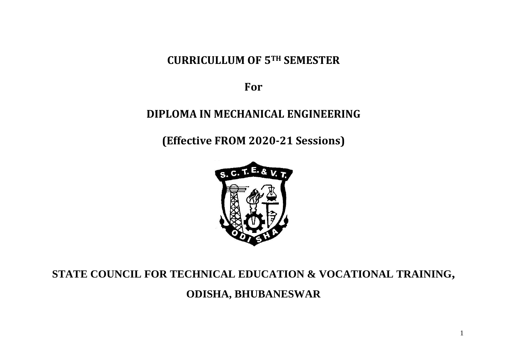# **CURRICULLUM OF 5TH SEMESTER**

**For**

# **DIPLOMA IN MECHANICAL ENGINEERING**

**(Effective FROM 2020-21 Sessions)**



# **STATE COUNCIL FOR TECHNICAL EDUCATION & VOCATIONAL TRAINING,**

**ODISHA, BHUBANESWAR**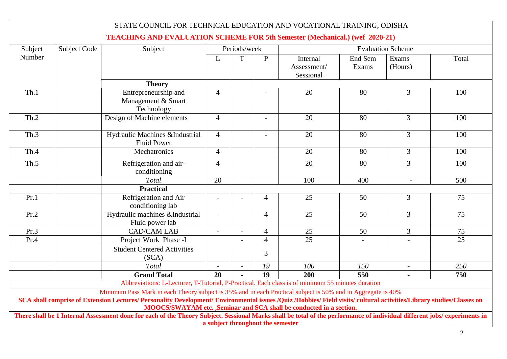|         |                                                                                                                                                                                                                                                                                      | STATE COUNCIL FOR TECHNICAL EDUCATION AND VOCATIONAL TRAINING, ODISHA                                                                                                                                                                                                                                                                                                                    |                                          |                          |                 |                                      |                  |                  |       |
|---------|--------------------------------------------------------------------------------------------------------------------------------------------------------------------------------------------------------------------------------------------------------------------------------------|------------------------------------------------------------------------------------------------------------------------------------------------------------------------------------------------------------------------------------------------------------------------------------------------------------------------------------------------------------------------------------------|------------------------------------------|--------------------------|-----------------|--------------------------------------|------------------|------------------|-------|
|         |                                                                                                                                                                                                                                                                                      | <b>TEACHING AND EVALUATION SCHEME FOR 5th Semester (Mechanical.) (wef 2020-21)</b>                                                                                                                                                                                                                                                                                                       |                                          |                          |                 |                                      |                  |                  |       |
| Subject | <b>Subject Code</b>                                                                                                                                                                                                                                                                  | Subject                                                                                                                                                                                                                                                                                                                                                                                  | Periods/week<br><b>Evaluation Scheme</b> |                          |                 |                                      |                  |                  |       |
| Number  |                                                                                                                                                                                                                                                                                      |                                                                                                                                                                                                                                                                                                                                                                                          | L                                        | T                        | $\mathbf{P}$    | Internal<br>Assessment/<br>Sessional | End Sem<br>Exams | Exams<br>(Hours) | Total |
|         |                                                                                                                                                                                                                                                                                      | <b>Theory</b>                                                                                                                                                                                                                                                                                                                                                                            |                                          |                          |                 |                                      |                  |                  |       |
| Th.1    |                                                                                                                                                                                                                                                                                      | Entrepreneurship and<br>Management & Smart<br>Technology                                                                                                                                                                                                                                                                                                                                 | $\overline{4}$                           |                          |                 | 20                                   | 80               | $\overline{3}$   | 100   |
| Th.2    |                                                                                                                                                                                                                                                                                      | Design of Machine elements                                                                                                                                                                                                                                                                                                                                                               | $\overline{4}$                           |                          |                 | 20                                   | 80               | $\overline{3}$   | 100   |
| Th.3    |                                                                                                                                                                                                                                                                                      | Hydraulic Machines &Industrial<br><b>Fluid Power</b>                                                                                                                                                                                                                                                                                                                                     | $\overline{4}$                           |                          |                 | 20                                   | 80               | $\overline{3}$   | 100   |
| Th.4    |                                                                                                                                                                                                                                                                                      | Mechatronics                                                                                                                                                                                                                                                                                                                                                                             | $\overline{4}$                           |                          |                 | 20                                   | 80               | $\overline{3}$   | 100   |
| Th.5    |                                                                                                                                                                                                                                                                                      | Refrigeration and air-<br>conditioning                                                                                                                                                                                                                                                                                                                                                   | $\overline{4}$                           |                          |                 | 20                                   | 80               | $\overline{3}$   | 100   |
|         |                                                                                                                                                                                                                                                                                      | Total                                                                                                                                                                                                                                                                                                                                                                                    | $\overline{20}$                          |                          |                 | 100                                  | 400              | $\blacksquare$   | 500   |
|         |                                                                                                                                                                                                                                                                                      | <b>Practical</b>                                                                                                                                                                                                                                                                                                                                                                         |                                          |                          |                 |                                      |                  |                  |       |
| Pr.1    |                                                                                                                                                                                                                                                                                      | Refrigeration and Air<br>conditioning lab                                                                                                                                                                                                                                                                                                                                                | $\overline{\phantom{a}}$                 |                          | 4               | 25                                   | 50               | $\overline{3}$   | 75    |
| Pr.2    |                                                                                                                                                                                                                                                                                      | Hydraulic machines &Industrial<br>Fluid power lab                                                                                                                                                                                                                                                                                                                                        | $\blacksquare$                           |                          | $\overline{4}$  | 25                                   | 50               | $\overline{3}$   | 75    |
| Pr.3    |                                                                                                                                                                                                                                                                                      | <b>CAD/CAM LAB</b>                                                                                                                                                                                                                                                                                                                                                                       | $\blacksquare$                           | $\overline{\phantom{a}}$ | $\overline{4}$  | 25                                   | 50               | 3                | 75    |
| Pr.4    |                                                                                                                                                                                                                                                                                      | Project Work Phase -I                                                                                                                                                                                                                                                                                                                                                                    |                                          |                          | $\overline{4}$  | 25                                   |                  |                  | 25    |
|         |                                                                                                                                                                                                                                                                                      | <b>Student Centered Activities</b><br>(SCA)                                                                                                                                                                                                                                                                                                                                              |                                          |                          | 3               |                                      |                  |                  |       |
|         |                                                                                                                                                                                                                                                                                      | Total                                                                                                                                                                                                                                                                                                                                                                                    |                                          | $\overline{\phantom{a}}$ | 19              | 100                                  | 150              | $\blacksquare$   | 250   |
|         |                                                                                                                                                                                                                                                                                      | <b>Grand Total</b>                                                                                                                                                                                                                                                                                                                                                                       | $\overline{20}$                          |                          | $\overline{19}$ | 200                                  | 550              |                  | 750   |
|         |                                                                                                                                                                                                                                                                                      | Abbreviations: L-Lecturer, T-Tutorial, P-Practical. Each class is of minimum 55 minutes duration<br>Minimum Pass Mark in each Theory subject is 35% and in each Practical subject is 50% and in Aggregate is 40%<br>SCA shall comprise of Extension Lectures/ Personality Development/ Environmental issues /Quiz /Hobbies/ Field visits/ cultural activities/Library studies/Classes on |                                          |                          |                 |                                      |                  |                  |       |
|         | MOOCS/SWAYAM etc., Seminar and SCA shall be conducted in a section.<br>There shall be 1 Internal Assessment done for each of the Theory Subject. Sessional Marks shall be total of the performance of individual different jobs/ experiments in<br>a subject throughout the semester |                                                                                                                                                                                                                                                                                                                                                                                          |                                          |                          |                 |                                      |                  |                  |       |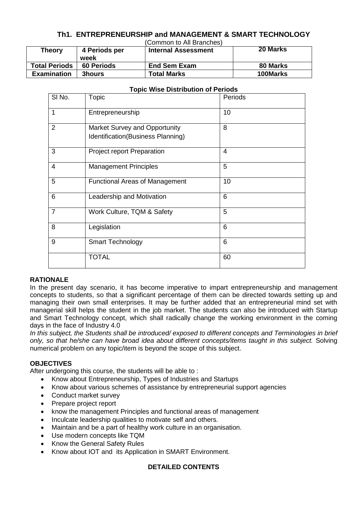## **Th1. ENTREPRENEURSHIP and MANAGEMENT & SMART TECHNOLOGY**

(Common to All Branches)

| <b>Theory</b>        | 4 Periods per      | <b>Internal Assessment</b> | 20 Marks |
|----------------------|--------------------|----------------------------|----------|
| <b>Total Periods</b> | week<br>60 Periods | <b>End Sem Exam</b>        | 80 Marks |
| <b>Examination</b>   | <b>3hours</b>      | <b>Total Marks</b>         | 100Marks |

| SI No.         | Topic                                 | Periods        |
|----------------|---------------------------------------|----------------|
|                |                                       |                |
| 1              | Entrepreneurship                      | 10             |
| $\overline{2}$ | Market Survey and Opportunity         | 8              |
|                | Identification(Business Planning)     |                |
| 3              | <b>Project report Preparation</b>     | $\overline{4}$ |
| 4              | <b>Management Principles</b>          | 5              |
| 5              | <b>Functional Areas of Management</b> | 10             |
| 6              | Leadership and Motivation             | 6              |
| $\overline{7}$ | Work Culture, TQM & Safety            | 5              |
| 8              | Legislation                           | 6              |
| 9              | <b>Smart Technology</b>               | 6              |
|                | <b>TOTAL</b>                          | 60             |

#### **Topic Wise Distribution of Periods**

#### **RATIONALE**

In the present day scenario, it has become imperative to impart entrepreneurship and management concepts to students, so that a significant percentage of them can be directed towards setting up and managing their own small enterprises. It may be further added that an entrepreneurial mind set with managerial skill helps the student in the job market. The students can also be introduced with Startup and Smart Technology concept, which shall radically change the working environment in the coming days in the face of Industry 4.0

*In this subject, the Students shall be introduced/ exposed to different concepts and Terminologies in brief only, so that he/she can have broad idea about different concepts/items taught in this subject.* Solving numerical problem on any topic/item is beyond the scope of this subject.

#### **OBJECTIVES**

After undergoing this course, the students will be able to :

- Know about Entrepreneurship, Types of Industries and Startups
- Know about various schemes of assistance by entrepreneurial support agencies
- Conduct market survey
- Prepare project report
- know the management Principles and functional areas of management
- Inculcate leadership qualities to motivate self and others.
- Maintain and be a part of healthy work culture in an organisation.
- Use modern concepts like TQM
- Know the General Safety Rules
- Know about IOT and its Application in SMART Environment.

#### **DETAILED CONTENTS**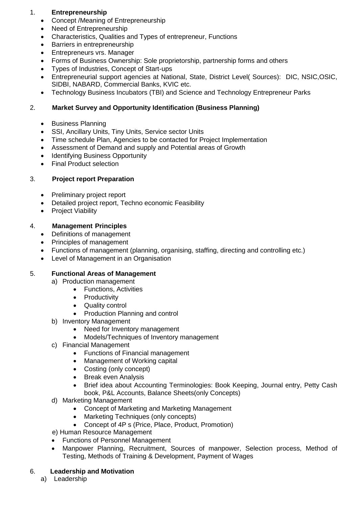#### 1. **Entrepreneurship**

- Concept /Meaning of Entrepreneurship
- Need of Entrepreneurship
- Characteristics, Qualities and Types of entrepreneur, Functions
- Barriers in entrepreneurship
- Entrepreneurs vrs. Manager
- Forms of Business Ownership: Sole proprietorship, partnership forms and others
- Types of Industries, Concept of Start-ups
- Entrepreneurial support agencies at National, State, District Level( Sources): DIC, NSIC,OSIC, SIDBI, NABARD, Commercial Banks, KVIC etc.
- Technology Business Incubators (TBI) and Science and Technology Entrepreneur Parks

### 2. **Market Survey and Opportunity Identification (Business Planning)**

- Business Planning
- SSI, Ancillary Units, Tiny Units, Service sector Units
- Time schedule Plan, Agencies to be contacted for Project Implementation
- Assessment of Demand and supply and Potential areas of Growth
- Identifying Business Opportunity
- Final Product selection

#### 3. **Project report Preparation**

- Preliminary project report
- Detailed project report, Techno economic Feasibility
- Project Viability

#### 4. **Management Principles**

- Definitions of management
- Principles of management
- Functions of management (planning, organising, staffing, directing and controlling etc.)
- Level of Management in an Organisation

#### 5. **Functional Areas of Management**

- a) Production management
	- Functions, Activities
	- Productivity
	- Quality control
	- Production Planning and control
- b) Inventory Management
	- Need for Inventory management
	- Models/Techniques of Inventory management
- c) Financial Management
	- Functions of Financial management
	- Management of Working capital
	- Costing (only concept)
	- Break even Analysis
	- Brief idea about Accounting Terminologies: Book Keeping, Journal entry, Petty Cash book, P&L Accounts, Balance Sheets(only Concepts)
- d) Marketing Management
	- Concept of Marketing and Marketing Management
	- Marketing Techniques (only concepts)
	- Concept of 4P s (Price, Place, Product, Promotion)
- e) Human Resource Management
- Functions of Personnel Management
- Manpower Planning, Recruitment, Sources of manpower, Selection process, Method of Testing, Methods of Training & Development, Payment of Wages

#### 6. **Leadership and Motivation**

a) Leadership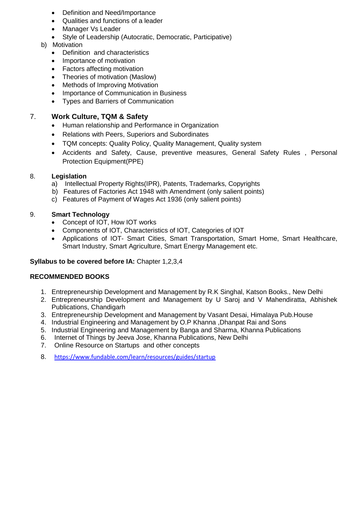- Definition and Need/Importance
- Qualities and functions of a leader
- Manager Vs Leader
- Style of Leadership (Autocratic, Democratic, Participative)
- b) Motivation
	- Definition and characteristics
	- Importance of motivation
	- Factors affecting motivation
	- Theories of motivation (Maslow)
	- Methods of Improving Motivation
	- Importance of Communication in Business
	- Types and Barriers of Communication

#### 7. **Work Culture, TQM & Safety**

- Human relationship and Performance in Organization
- Relations with Peers, Superiors and Subordinates
- TQM concepts: Quality Policy, Quality Management, Quality system
- Accidents and Safety, Cause, preventive measures, General Safety Rules , Personal Protection Equipment(PPE)

#### 8. **Legislation**

- a) Intellectual Property Rights(IPR), Patents, Trademarks, Copyrights
- b) Features of Factories Act 1948 with Amendment (only salient points)
- c) Features of Payment of Wages Act 1936 (only salient points)

#### 9. **Smart Technology**

- Concept of IOT, How IOT works
- Components of IOT, Characteristics of IOT, Categories of IOT
- Applications of IOT- Smart Cities, Smart Transportation, Smart Home, Smart Healthcare, Smart Industry, Smart Agriculture, Smart Energy Management etc.

#### **Syllabus to be covered before IA:** Chapter 1,2,3,4

#### **RECOMMENDED BOOKS**

- 1. Entrepreneurship Development and Management by R.K Singhal, Katson Books., New Delhi
- 2. Entrepreneurship Development and Management by U Saroj and V Mahendiratta, Abhishek Publications, Chandigarh
- 3. Entrepreneurship Development and Management by Vasant Desai, Himalaya Pub.House
- 4. Industrial Engineering and Management by O.P Khanna ,Dhanpat Rai and Sons
- 5. Industrial Engineering and Management by Banga and Sharma, Khanna Publications
- 6. Internet of Things by Jeeva Jose, Khanna Publications, New Delhi
- 7. Online Resource on Startups and other concepts
- 8. <https://www.fundable.com/learn/resources/guides/startup>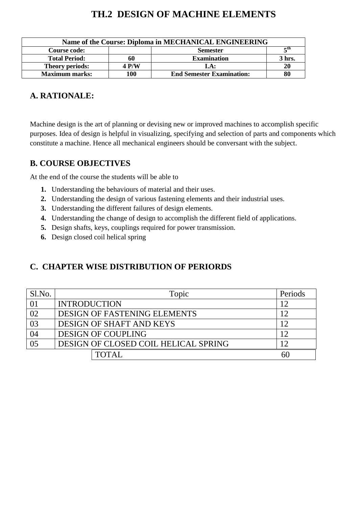# **TH.2 DESIGN OF MACHINE ELEMENTS**

| Name of the Course: Diploma in MECHANICAL ENGINEERING |              |                                  |                           |  |  |
|-------------------------------------------------------|--------------|----------------------------------|---------------------------|--|--|
| <b>Course code:</b>                                   |              | <b>Semester</b>                  | $\mathbf{z}^{\mathbf{m}}$ |  |  |
| <b>Total Period:</b>                                  | 60           | <b>Examination</b>               | 3 hrs.                    |  |  |
| <b>Theory periods:</b>                                | <b>4 P/W</b> | I.A:                             | 20                        |  |  |
| <b>Maximum marks:</b>                                 | 100          | <b>End Semester Examination:</b> | 80                        |  |  |

# **A. RATIONALE:**

Machine design is the art of planning or devising new or improved machines to accomplish specific purposes. Idea of design is helpful in visualizing, specifying and selection of parts and components which constitute a machine. Hence all mechanical engineers should be conversant with the subject.

## **B. COURSE OBJECTIVES**

At the end of the course the students will be able to

- **1.** Understanding the behaviours of material and their uses.
- **2.** Understanding the design of various fastening elements and their industrial uses.
- **3.** Understanding the different failures of design elements.
- **4.** Understanding the change of design to accomplish the different field of applications.
- **5.** Design shafts, keys, couplings required for power transmission.
- **6.** Design closed coil helical spring

# **C. CHAPTER WISE DISTRIBUTION OF PERIORDS**

| Sl.No. | Topic                                | Periods |
|--------|--------------------------------------|---------|
| 01     | <b>INTRODUCTION</b>                  | 12      |
| 02     | <b>DESIGN OF FASTENING ELEMENTS</b>  |         |
| 03     | DESIGN OF SHAFT AND KEYS             |         |
| 04     | <b>DESIGN OF COUPLING</b>            |         |
| 05     | DESIGN OF CLOSED COIL HELICAL SPRING |         |
|        | <b>TOTAL</b>                         |         |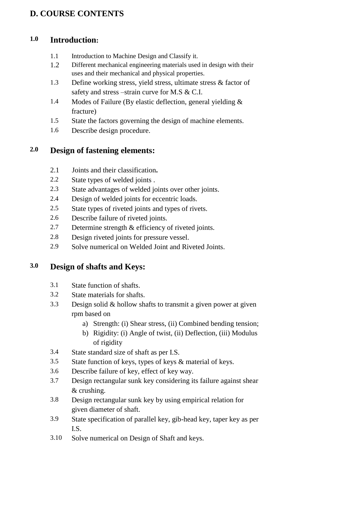# **D. COURSE CONTENTS**

## **1.0 Introduction:**

- 1.1 Introduction to Machine Design and Classify it.
- 1.2 Different mechanical engineering materials used in design with their uses and their mechanical and physical properties.
- 1.3 Define working stress, yield stress, ultimate stress & factor of safety and stress –strain curve for M.S & C.I.
- 1.4 Modes of Failure (By elastic deflection, general yielding & fracture)
- 1.5 State the factors governing the design of machine elements.
- 1.6 Describe design procedure.

## **2.0 Design of fastening elements:**

- 2.1Joints and their classification**.**
- 2.2 State types of welded joints .
- 2.3 State advantages of welded joints over other joints.
- 2.4 Design of welded joints for eccentric loads.
- 2.5 State types of riveted joints and types of rivets.
- 2.6 Describe failure of riveted joints.
- 2.7 Determine strength & efficiency of riveted joints.
- 2.8 Design riveted joints for pressure vessel.
- 2.9 Solve numerical on Welded Joint and Riveted Joints.

## **3.0 Design of shafts and Keys:**

- 3.1 State function of shafts.
- 3.2 State materials for shafts.
- 3.3 Design solid  $&$  hollow shafts to transmit a given power at given rpm based on
	- a) Strength: (i) Shear stress, (ii) Combined bending tension;
	- b) Rigidity: (i) Angle of twist, (ii) Deflection, (iii) Modulus of rigidity
- 3.4 State standard size of shaft as per I.S.
- 3.5 State function of keys, types of keys & material of keys.
- 3.6 Describe failure of key, effect of key way.
- 3.7 Design rectangular sunk key considering its failure against shear & crushing.
- 3.8 Design rectangular sunk key by using empirical relation for given diameter of shaft.
- 3.9 State specification of parallel key, gib-head key, taper key as per I.S.
- 3.10 Solve numerical on Design of Shaft and keys.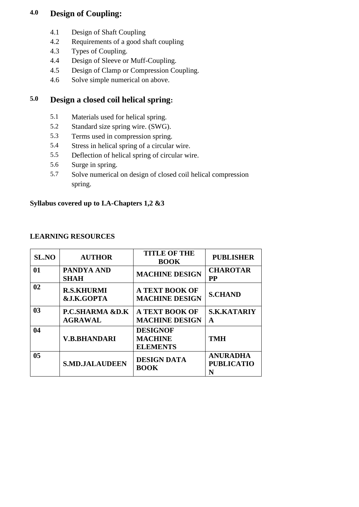# **4.0 Design of Coupling:**

- 4.1 Design of Shaft Coupling
- 4.2 Requirements of a good shaft coupling
- 4.3 Types of Coupling.
- 4.4 Design of Sleeve or Muff-Coupling.
- 4.5 Design of Clamp or Compression Coupling.
- 4.6 Solve simple numerical on above.

## **5.0 Design a closed coil helical spring:**

- 5.1 Materials used for helical spring.
- 5.2 Standard size spring wire. (SWG).
- 5.3 Terms used in compression spring.
- 5.4 Stress in helical spring of a circular wire.
- 5.5 Deflection of helical spring of circular wire.
- 5.6 Surge in spring.
- 5.7 Solve numerical on design of closed coil helical compression spring.

#### **Syllabus covered up to I.A-Chapters 1,2 &3**

#### **LEARNING RESOURCES**

| <b>SL.NO</b>   | <b>AUTHOR</b>                     | <b>TITLE OF THE</b><br><b>BOOK</b>                   | <b>PUBLISHER</b>                          |
|----------------|-----------------------------------|------------------------------------------------------|-------------------------------------------|
| 01             | PANDYA AND<br><b>SHAH</b>         | <b>MACHINE DESIGN</b>                                | <b>CHAROTAR</b><br><b>PP</b>              |
| 02             | <b>R.S.KHURMI</b><br>&J.K.GOPTA   | <b>A TEXT BOOK OF</b><br><b>MACHINE DESIGN</b>       | <b>S.CHAND</b>                            |
| 0 <sub>3</sub> | P.C.SHARMA &D.K<br><b>AGRAWAL</b> | <b>A TEXT BOOK OF</b><br><b>MACHINE DESIGN</b>       | <b>S.K.KATARIY</b><br>A                   |
| 04             | <b>V.B.BHANDARI</b>               | <b>DESIGNOF</b><br><b>MACHINE</b><br><b>ELEMENTS</b> | <b>TMH</b>                                |
| 0 <sub>5</sub> | <b>S.MD.JALAUDEEN</b>             | <b>DESIGN DATA</b><br><b>BOOK</b>                    | <b>ANURADHA</b><br><b>PUBLICATIO</b><br>N |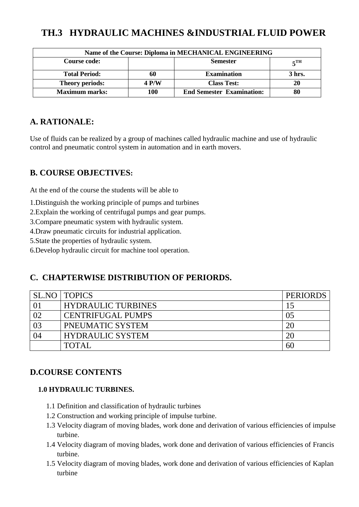# **TH.3 HYDRAULIC MACHINES &INDUSTRIAL FLUID POWER**

| Name of the Course: Diploma in MECHANICAL ENGINEERING                |              |                                  |        |  |  |
|----------------------------------------------------------------------|--------------|----------------------------------|--------|--|--|
| <b>Course code:</b><br><b>Semester</b><br>$\mathbf{F}^{\mathrm{TH}}$ |              |                                  |        |  |  |
| <b>Total Period:</b>                                                 | 60           | <b>Examination</b>               | 3 hrs. |  |  |
| <b>Theory periods:</b>                                               | <b>4 P/W</b> | <b>Class Test:</b>               | 20     |  |  |
| <b>Maximum marks:</b>                                                | 100          | <b>End Semester Examination:</b> | 80     |  |  |

## **A. RATIONALE:**

Use of fluids can be realized by a group of machines called hydraulic machine and use of hydraulic control and pneumatic control system in automation and in earth movers.

## **B. COURSE OBJECTIVES:**

At the end of the course the students will be able to

1.Distinguish the working principle of pumps and turbines

2.Explain the working of centrifugal pumps and gear pumps.

3.Compare pneumatic system with hydraulic system.

4.Draw pneumatic circuits for industrial application.

5.State the properties of hydraulic system.

6.Develop hydraulic circuit for machine tool operation.

## **C. CHAPTERWISE DISTRIBUTION OF PERIORDS.**

|    | <b>SL.NO   TOPICS</b>     | <b>PERIORDS</b> |
|----|---------------------------|-----------------|
|    | <b>HYDRAULIC TURBINES</b> |                 |
| 02 | <b>CENTRIFUGAL PUMPS</b>  | 05              |
| 03 | PNEUMATIC SYSTEM          | 20              |
| 04 | <b>HYDRAULIC SYSTEM</b>   | 20              |
|    | <b>TOTAL</b>              | 60              |

## **D.COURSE CONTENTS**

### **1.0 HYDRAULIC TURBINES.**

- 1.1 Definition and classification of hydraulic turbines
- 1.2 Construction and working principle of impulse turbine.
- 1.3 Velocity diagram of moving blades, work done and derivation of various efficiencies of impulse turbine.
- 1.4 Velocity diagram of moving blades, work done and derivation of various efficiencies of Francis turbine.
- 1.5 Velocity diagram of moving blades, work done and derivation of various efficiencies of Kaplan turbine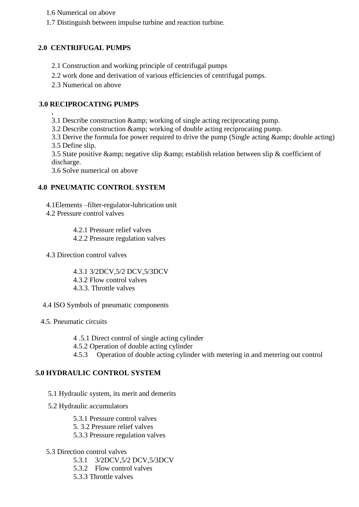- 1.6 Numerical on above
- 1.7 Distinguish between impulse turbine and reaction turbine.

## **2.0 CENTRIFUGAL PUMPS**

- 2.1 Construction and working principle of centrifugal pumps
- 2.2 work done and derivation of various efficiencies of centrifugal pumps.
- 2.3 Numerical on above

### **3.0 RECIPROCATING PUMPS**

- **.** 3.1 Describe construction & amp; working of single acting reciprocating pump.
- 3.2 Describe construction & amp; working of double acting reciprocating pump.

3.3 Derive the formula foe power required to drive the pump (Single acting & amp; double acting) 3.5 Define slip.

3.5 State positive & amp; negative slip & amp; establish relation between slip & coefficient of discharge.

3.6 Solve numerical on above

#### **4.0 PNEUMATIC CONTROL SYSTEM**

4.1Elements –filter-regulator-lubrication unit

- 4.2 Pressure control valves
	- 4.2.1 Pressure relief valves 4.2.2 Pressure regulation valves
- 4.3 Direction control valves

 4.3.1 3/2DCV,5/2 DCV,5/3DCV 4.3.2 Flow control valves 4.3.3. Throttle valves

- 4.4 ISO Symbols of pneumatic components
- 4.5. Pneumatic circuits
	- 4 .5.1 Direct control of single acting cylinder
	- 4.5.2 Operation of double acting cylinder
	- 4.5.3 Operation of double acting cylinder with metering in and metering out control

#### **5.0 HYDRAULIC CONTROL SYSTEM**

- 5.1 Hydraulic system, its merit and demerits
- 5.2 Hydraulic accumulators
	- 5.3.1 Pressure control valves
	- 5. 3.2 Pressure relief valves
	- 5.3.3 Pressure regulation valves
- 5.3 Direction control valves
	- 5.3.1 3/2DCV,5/2 DCV,5/3DCV
	- 5.3.2 Flow control valves
	- 5.3.3 Throttle valves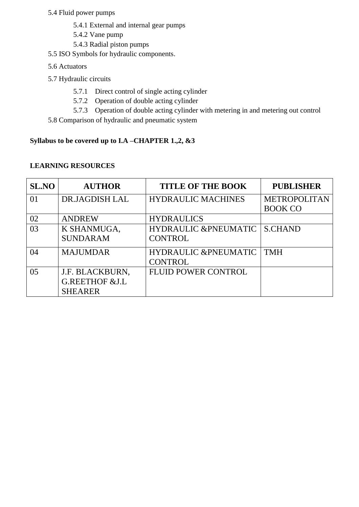- 5.4 Fluid power pumps
	- 5.4.1 External and internal gear pumps
	- 5.4.2 Vane pump
	- 5.4.3 Radial piston pumps
- 5.5 ISO Symbols for hydraulic components.
- 5.6 Actuators
- 5.7 Hydraulic circuits
	- 5.7.1 Direct control of single acting cylinder
	- 5.7.2 Operation of double acting cylinder
	- 5.7.3 Operation of double acting cylinder with metering in and metering out control
- 5.8 Comparison of hydraulic and pneumatic system

## **Syllabus to be covered up to I.A –CHAPTER 1.,2, &3**

#### **LEARNING RESOURCES**

| <b>SL.NO</b> | <b>AUTHOR</b>   | <b>TITLE OF THE BOOK</b>        | <b>PUBLISHER</b>    |
|--------------|-----------------|---------------------------------|---------------------|
| 01           | DR.JAGDISH LAL  | <b>HYDRAULIC MACHINES</b>       | <b>METROPOLITAN</b> |
|              |                 |                                 | <b>BOOK CO</b>      |
| 02           | <b>ANDREW</b>   | <b>HYDRAULICS</b>               |                     |
| 03           | K SHANMUGA,     | <b>HYDRAULIC &amp;PNEUMATIC</b> | <b>S.CHAND</b>      |
|              | <b>SUNDARAM</b> | <b>CONTROL</b>                  |                     |
| 04           | <b>MAJUMDAR</b> | <b>HYDRAULIC &amp;PNEUMATIC</b> | <b>TMH</b>          |
|              |                 | <b>CONTROL</b>                  |                     |
| 05           | J.F. BLACKBURN, | <b>FLUID POWER CONTROL</b>      |                     |
|              | G.REETHOF & J.L |                                 |                     |
|              | <b>SHEARER</b>  |                                 |                     |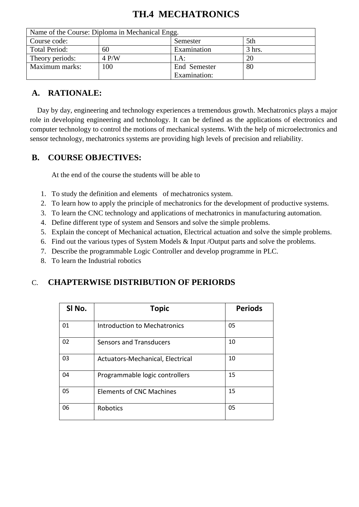| Name of the Course: Diploma in Mechanical Engg. |       |              |          |  |  |
|-------------------------------------------------|-------|--------------|----------|--|--|
| Course code:                                    |       | Semester     | 5th      |  |  |
| <b>Total Period:</b>                            | 60    | Examination  | $3$ hrs. |  |  |
| Theory periods:                                 | 4 P/W | $I.A$ :      | 20       |  |  |
| Maximum marks:                                  | 100   | End Semester | 80       |  |  |
|                                                 |       | Examination: |          |  |  |

# **TH.4 MECHATRONICS**

## **A. RATIONALE:**

 Day by day, engineering and technology experiences a tremendous growth. Mechatronics plays a major role in developing engineering and technology. It can be defined as the applications of electronics and computer technology to control the motions of mechanical systems. With the help of microelectronics and sensor technology, mechatronics systems are providing high levels of precision and reliability.

## **B. COURSE OBJECTIVES:**

At the end of the course the students will be able to

- 1. To study the definition and elements of mechatronics system.
- 2. To learn how to apply the principle of mechatronics for the development of productive systems.
- 3. To learn the CNC technology and applications of mechatronics in manufacturing automation.
- 4. Define different type of system and Sensors and solve the simple problems.
- 5. Explain the concept of Mechanical actuation, Electrical actuation and solve the simple problems.
- 6. Find out the various types of System Models & Input /Output parts and solve the problems.
- 7. Describe the programmable Logic Controller and develop programme in PLC.
- 8. To learn the Industrial robotics

## C. **CHAPTERWISE DISTRIBUTION OF PERIORDS**

| SI No. | <b>Topic</b>                     | <b>Periods</b> |
|--------|----------------------------------|----------------|
| 01     | Introduction to Mechatronics     | 05             |
| 02     | <b>Sensors and Transducers</b>   | 10             |
| 03     | Actuators-Mechanical, Electrical | 10             |
| 04     | Programmable logic controllers   | 15             |
| 05     | Elements of CNC Machines         | 15             |
| 06     | Robotics                         | 05             |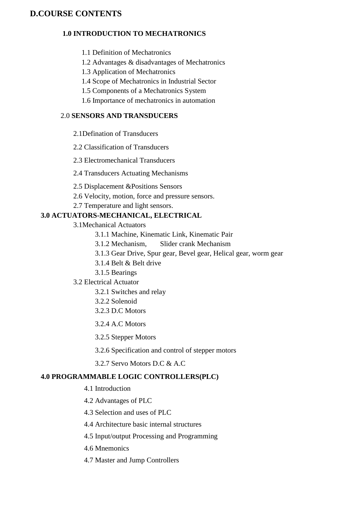## **D.COURSE CONTENTS**

### **1.0 INTRODUCTION TO MECHATRONICS**

- 1.1 Definition of Mechatronics
- 1.2 Advantages & disadvantages of Mechatronics
- 1.3 Application of Mechatronics
- 1.4 Scope of Mechatronics in Industrial Sector
- 1.5 Components of a Mechatronics System
- 1.6 Importance of mechatronics in automation

#### 2.0 **SENSORS AND TRANSDUCERS**

- 2.1Defination of Transducers
- 2.2 Classification of Transducers
- 2.3 Electromechanical Transducers
- 2.4 Transducers Actuating Mechanisms
- 2.5 Displacement &Positions Sensors
- 2.6 Velocity, motion, force and pressure sensors.
- 2.7 Temperature and light sensors.

#### **3.0 ACTUATORS-MECHANICAL, ELECTRICAL**

- 3.1Mechanical Actuators
	- 3.1.1 Machine, Kinematic Link, Kinematic Pair
	- 3.1.2 Mechanism, Slider crank Mechanism
	- 3.1.3 Gear Drive, Spur gear, Bevel gear, Helical gear, worm gear
	- 3.1.4 Belt & Belt drive
	- 3.1.5 Bearings
- 3.2 Electrical Actuator
	- 3.2.1 Switches and relay
	- 3.2.2 Solenoid
	- 3.2.3 D.C Motors
	- 3.2.4 A.C Motors
	- 3.2.5 Stepper Motors
	- 3.2.6 Specification and control of stepper motors
	- 3.2.7 Servo Motors D.C & A.C

#### **4.0 PROGRAMMABLE LOGIC CONTROLLERS(PLC)**

- 4.1 Introduction
- 4.2 Advantages of PLC
- 4.3 Selection and uses of PLC
- 4.4 Architecture basic internal structures
- 4.5 Input/output Processing and Programming
- 4.6 Mnemonics
- 4.7 Master and Jump Controllers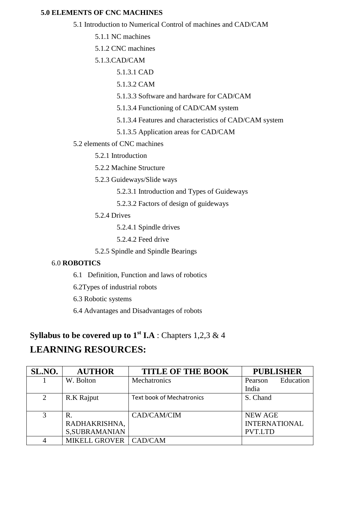#### **5.0 ELEMENTS OF CNC MACHINES**

5.1 Introduction to Numerical Control of machines and CAD/CAM

5.1.1 NC machines

5.1.2 CNC machines

5.1.3.CAD/CAM

5.1.3.1 CAD

5.1.3.2 CAM

5.1.3.3 Software and hardware for CAD/CAM

5.1.3.4 Functioning of CAD/CAM system

- 5.1.3.4 Features and characteristics of CAD/CAM system
- 5.1.3.5 Application areas for CAD/CAM
- 5.2 elements of CNC machines
	- 5.2.1 Introduction

5.2.2 Machine Structure

5.2.3 Guideways/Slide ways

5.2.3.1 Introduction and Types of Guideways

- 5.2.3.2 Factors of design of guideways
- 5.2.4 Drives

5.2.4.1 Spindle drives

- 5.2.4.2 Feed drive
- 5.2.5 Spindle and Spindle Bearings

#### 6.0 **ROBOTICS**

- 6.1 Definition, Function and laws of robotics
- 6.2Types of industrial robots

6.3 Robotic systems

6.4 Advantages and Disadvantages of robots

# **Syllabus to be covered up to**  $1^{\text{st}}$  **<b>I.A** : Chapters 1,2,3 & 4 **LEARNING RESOURCES:**

| SL.NO. | <b>AUTHOR</b>           | <b>TITLE OF THE BOOK</b>         | <b>PUBLISHER</b>     |
|--------|-------------------------|----------------------------------|----------------------|
|        | W. Bolton               | Mechatronics                     | Education<br>Pearson |
|        |                         |                                  | India                |
| 2      | R.K Rajput              | <b>Text book of Mechatronics</b> | S. Chand             |
|        |                         |                                  |                      |
| 3      | R.                      | CAD/CAM/CIM                      | <b>NEW AGE</b>       |
|        | RADHAKRISHNA,           |                                  | <b>INTERNATIONAL</b> |
|        | <b>S,SUBRAMANIAN</b>    |                                  | <b>PVT.LTD</b>       |
| 4      | MIKELL GROVER   CAD/CAM |                                  |                      |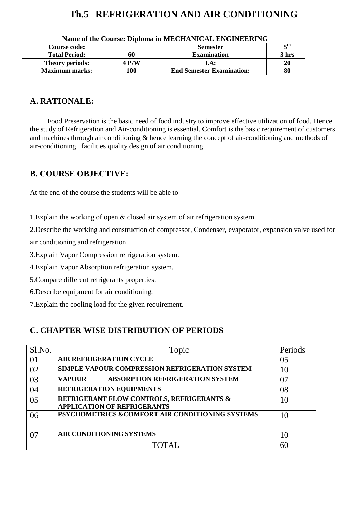# **Th.5 REFRIGERATION AND AIR CONDITIONING**

| Name of the Course: Diploma in MECHANICAL ENGINEERING          |       |                                  |       |
|----------------------------------------------------------------|-------|----------------------------------|-------|
| $\boldsymbol{\varsigma}$ tn<br>Course code:<br><b>Semester</b> |       |                                  |       |
| <b>Total Period:</b>                                           | 60    | <b>Examination</b>               | 3 hrs |
| <b>Theory periods:</b>                                         | 4 P/W | $L A$ :                          | 20    |
| <b>Maximum marks:</b>                                          | 100   | <b>End Semester Examination:</b> | 80    |

## **A. RATIONALE:**

Food Preservation is the basic need of food industry to improve effective utilization of food. Hence the study of Refrigeration and Air-conditioning is essential. Comfort is the basic requirement of customers and machines through air conditioning & hence learning the concept of air-conditioning and methods of air-conditioning facilities quality design of air conditioning.

## **B. COURSE OBJECTIVE:**

At the end of the course the students will be able to

1.Explain the working of open & closed air system of air refrigeration system

2.Describe the working and construction of compressor, Condenser, evaporator, expansion valve used for

air conditioning and refrigeration.

3.Explain Vapor Compression refrigeration system.

4.Explain Vapor Absorption refrigeration system.

5.Compare different refrigerants properties.

6.Describe equipment for air conditioning.

7.Explain the cooling load for the given requirement.

## **C. CHAPTER WISE DISTRIBUTION OF PERIODS**

| Sl.No. | Topic                                                                           | Periods |
|--------|---------------------------------------------------------------------------------|---------|
| 01     | AIR REFRIGERATION CYCLE                                                         | 05      |
| 02     | <b>SIMPLE VAPOUR COMPRESSION REFRIGERATION SYSTEM</b>                           | 10      |
| 03     | <b>ABSORPTION REFRIGERATION SYSTEM</b><br><b>VAPOUR</b>                         | 07      |
| 04     | REFRIGERATION EQUIPMENTS                                                        | 08      |
| 05     | REFRIGERANT FLOW CONTROLS, REFRIGERANTS &<br><b>APPLICATION OF REFRIGERANTS</b> | 10      |
| 06     | PSYCHOMETRICS &COMFORT AIR CONDITIONING SYSTEMS                                 | 10      |
| በ7     | <b>AIR CONDITIONING SYSTEMS</b>                                                 | 10      |
|        | TOTAL                                                                           | 60      |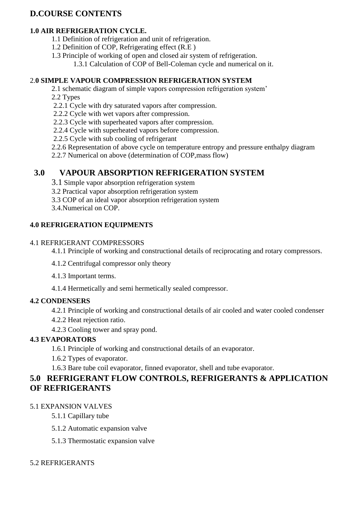## **D.COURSE CONTENTS**

### **1.0 AIR REFRIGERATION CYCLE.**

- 1.1 Definition of refrigeration and unit of refrigeration.
- 1.2 Definition of COP, Refrigerating effect (R.E )
- 1.3 Principle of working of open and closed air system of refrigeration.
	- 1.3.1 Calculation of COP of Bell-Coleman cycle and numerical on it.

## 2.**0 SIMPLE VAPOUR COMPRESSION REFRIGERATION SYSTEM**

- 2.1 schematic diagram of simple vapors compression refrigeration system'
- 2.2 Types
- 2.2.1 Cycle with dry saturated vapors after compression.
- 2.2.2 Cycle with wet vapors after compression.
- 2.2.3 Cycle with superheated vapors after compression.
- 2.2.4 Cycle with superheated vapors before compression.
- 2.2.5 Cycle with sub cooling of refrigerant
- 2.2.6 Representation of above cycle on temperature entropy and pressure enthalpy diagram
- 2.2.7 Numerical on above (determination of COP,mass flow)

# **3.0 VAPOUR ABSORPTION REFRIGERATION SYSTEM**

- 3.1 Simple vapor absorption refrigeration system
- 3.2 Practical vapor absorption refrigeration system
- 3.3 COP of an ideal vapor absorption refrigeration system
- 3.4.Numerical on COP.

### **4.0 REFRIGERATION EQUIPMENTS**

#### 4.1 REFRIGERANT COMPRESSORS

4.1.1 Principle of working and constructional details of reciprocating and rotary compressors.

- 4.1.2 Centrifugal compressor only theory
- 4.1.3 Important terms.
- 4.1.4 Hermetically and semi hermetically sealed compressor.

### **4.2 CONDENSERS**

- 4.2.1 Principle of working and constructional details of air cooled and water cooled condenser
- 4.2.2 Heat rejection ratio.
- 4.2.3 Cooling tower and spray pond.

### **4.3 EVAPORATORS**

- 1.6.1 Principle of working and constructional details of an evaporator.
- 1.6.2 Types of evaporator.
- 1.6.3 Bare tube coil evaporator, finned evaporator, shell and tube evaporator.

## **5.0 REFRIGERANT FLOW CONTROLS, REFRIGERANTS & APPLICATION OF REFRIGERANTS**

### 5.1 EXPANSION VALVES

- 5.1.1 Capillary tube
- 5.1.2 Automatic expansion valve
- 5.1.3 Thermostatic expansion valve

#### 5.2 REFRIGERANTS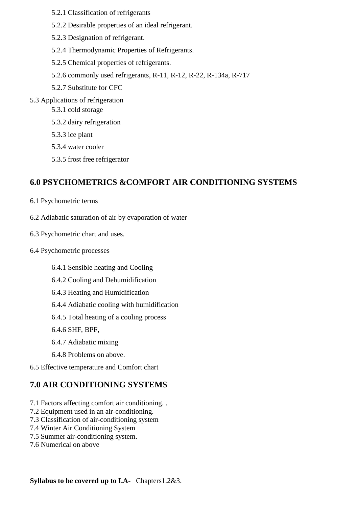- 5.2.1 Classification of refrigerants
- 5.2.2 Desirable properties of an ideal refrigerant.
- 5.2.3 Designation of refrigerant.
- 5.2.4 Thermodynamic Properties of Refrigerants.
- 5.2.5 Chemical properties of refrigerants.
- 5.2.6 commonly used refrigerants, R-11, R-12, R-22, R-134a, R-717
- 5.2.7 Substitute for CFC
- 5.3 Applications of refrigeration
	- 5.3.1 cold storage
	- 5.3.2 dairy refrigeration
	- 5.3.3 ice plant
	- 5.3.4 water cooler
	- 5.3.5 frost free refrigerator

## **6.0 PSYCHOMETRICS &COMFORT AIR CONDITIONING SYSTEMS**

- 6.1 Psychometric terms
- 6.2 Adiabatic saturation of air by evaporation of water
- 6.3 Psychometric chart and uses.
- 6.4 Psychometric processes
	- 6.4.1 Sensible heating and Cooling
	- 6.4.2 Cooling and Dehumidification
	- 6.4.3 Heating and Humidification
	- 6.4.4 Adiabatic cooling with humidification
	- 6.4.5 Total heating of a cooling process
	- 6.4.6 SHF, BPF,
	- 6.4.7 Adiabatic mixing
	- 6.4.8 Problems on above.
- 6.5 Effective temperature and Comfort chart

## **7.0 AIR CONDITIONING SYSTEMS**

- 7.1 Factors affecting comfort air conditioning. .
- 7.2 Equipment used in an air-conditioning.
- 7.3 Classification of air-conditioning system
- 7.4 Winter Air Conditioning System
- 7.5 Summer air-conditioning system.
- 7.6 Numerical on above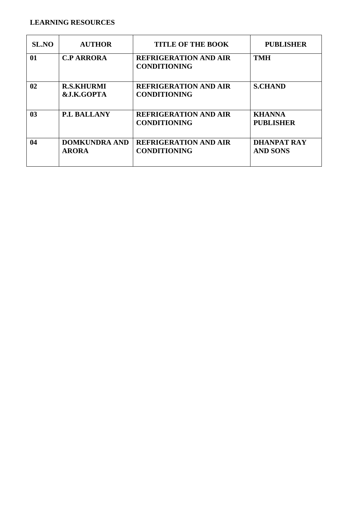#### **LEARNING RESOURCES**

| <b>SL.NO</b>   | <b>AUTHOR</b>                        | <b>TITLE OF THE BOOK</b>                            | <b>PUBLISHER</b>                      |
|----------------|--------------------------------------|-----------------------------------------------------|---------------------------------------|
| 01             | <b>C.P ARRORA</b>                    | <b>REFRIGERATION AND AIR</b><br><b>CONDITIONING</b> | <b>TMH</b>                            |
| 02             | <b>R.S.KHURMI</b><br>&J.K.GOPTA      | <b>REFRIGERATION AND AIR</b><br><b>CONDITIONING</b> | <b>S.CHAND</b>                        |
| 0 <sub>3</sub> | <b>P.L BALLANY</b>                   | <b>REFRIGERATION AND AIR</b><br><b>CONDITIONING</b> | <b>KHANNA</b><br><b>PUBLISHER</b>     |
| 04             | <b>DOMKUNDRA AND</b><br><b>ARORA</b> | <b>REFRIGERATION AND AIR</b><br><b>CONDITIONING</b> | <b>DHANPAT RAY</b><br><b>AND SONS</b> |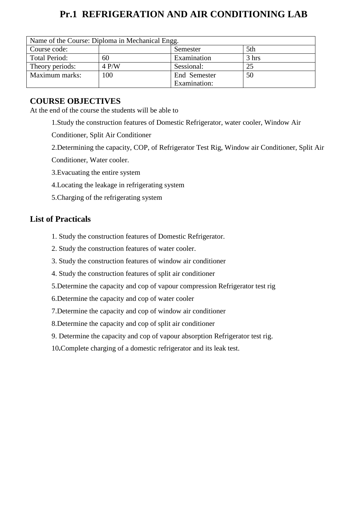# **Pr.1 REFRIGERATION AND AIR CONDITIONING LAB**

| Name of the Course: Diploma in Mechanical Engg. |       |              |       |  |
|-------------------------------------------------|-------|--------------|-------|--|
| Course code:                                    |       | Semester     | 5th   |  |
| <b>Total Period:</b>                            | 60    | Examination  | 3 hrs |  |
| Theory periods:                                 | 4 P/W | Sessional:   | 25    |  |
| Maximum marks:                                  | 100   | End Semester | 50    |  |
|                                                 |       | Examination: |       |  |

## **COURSE OBJECTIVES**

At the end of the course the students will be able to

- 1.Study the construction features of Domestic Refrigerator, water cooler, Window Air
- Conditioner, Split Air Conditioner
- 2.Determining the capacity, COP, of Refrigerator Test Rig, Window air Conditioner, Split Air
- Conditioner, Water cooler.
- 3.Evacuating the entire system
- 4.Locating the leakage in refrigerating system
- 5.Charging of the refrigerating system

## **List of Practicals**

- 1. Study the construction features of Domestic Refrigerator.
- 2. Study the construction features of water cooler.
- 3. Study the construction features of window air conditioner
- 4. Study the construction features of split air conditioner
- 5.Determine the capacity and cop of vapour compression Refrigerator test rig
- 6.Determine the capacity and cop of water cooler
- 7.Determine the capacity and cop of window air conditioner
- 8.Determine the capacity and cop of split air conditioner
- 9. Determine the capacity and cop of vapour absorption Refrigerator test rig.
- 10**.**Complete charging of a domestic refrigerator and its leak test.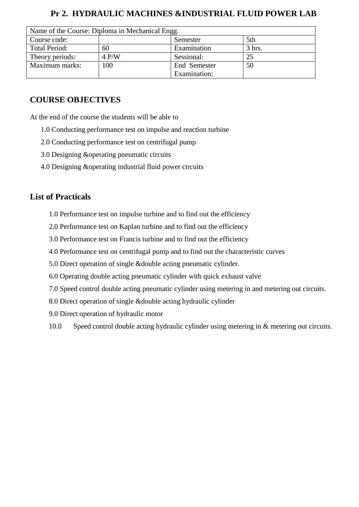## **Pr 2. HYDRAULIC MACHINES &INDUSTRIAL FLUID POWER LAB**

| Name of the Course: Diploma in Mechanical Engg. |       |              |          |  |
|-------------------------------------------------|-------|--------------|----------|--|
| Course code:                                    |       | Semester     | 5th      |  |
| <b>Total Period:</b>                            | 60    | Examination  | $3$ hrs. |  |
| Theory periods:                                 | 4 P/W | Sessional:   | 25       |  |
| Maximum marks:                                  | 100   | End Semester | 50       |  |
|                                                 |       | Examination: |          |  |

## **COURSE OBJECTIVES**

At the end of the course the students will be able to

- 1.0 Conducting performance test on impulse and reaction turbine
- 2.0 Conducting performance test on centrifugal pump
- 3.0 Designing &operating pneumatic circuits
- 4.0 Designing &operating industrial fluid power circuits

## **List of Practicals**

- 1.0 Performance test on impulse turbine and to find out the efficiency
- 2.0 Performance test on Kaplan turbine and to find out the efficiency
- 3.0 Performance test on Francis turbine and to find out the efficiency
- 4.0 Performance test on centrifugal pump and to find out the characteristic curves
- 5.0 Direct operation of single &double acting pneumatic cylinder.
- 6.0 Operating double acting pneumatic cylinder with quick exhaust valve
- 7.0 Speed control double acting pneumatic cylinder using metering in and metering out circuits.
- 8.0 Direct operation of single &double acting hydraulic cylinder
- 9.0 Direct operation of hydraulic motor
- 10.0 Speed control double acting hydraulic cylinder using metering in & metering out circuits.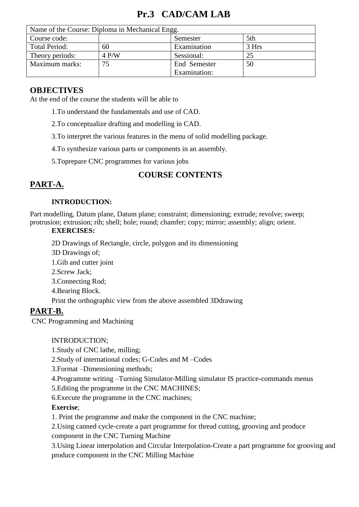# **Pr.3 CAD/CAM LAB**

| Name of the Course: Diploma in Mechanical Engg. |       |              |       |  |
|-------------------------------------------------|-------|--------------|-------|--|
| Course code:                                    |       | Semester     | 5th   |  |
| <b>Total Period:</b>                            | 60    | Examination  | 3 Hrs |  |
| Theory periods:                                 | 4 P/W | Sessional:   | 25    |  |
| Maximum marks:                                  | 75    | End Semester | 50    |  |
|                                                 |       | Examination: |       |  |

## **OBJECTIVES**

At the end of the course the students will be able to

1.To understand the fundamentals and use of CAD.

2.To conceptualize drafting and modelling in CAD.

3.To interpret the various features in the menu of solid modelling package.

4.To synthesize various parts or components in an assembly.

5.Toprepare CNC programmes for various jobs

# **COURSE CONTENTS**

# **PART-A.**

## **INTRODUCTION:**

Part modelling, Datum plane, Datum plane; constraint; dimensioning; extrude; revolve; sweep; protrusion; extrusion; rib; shell; hole; round; chamfer; copy; mirror; assembly; align; orient.

### **EXERCISES:**

2D Drawings of Rectangle, circle, polygon and its dimensioning

3D Drawings of;

1.Gib and cutter joint

2.Screw Jack;

3.Connecting Rod;

4.Bearing Block.

Print the orthographic view from the above assembled 3Ddrawing

## **PART-B.**

CNC Programming and Machining

INTRODUCTION;

1.Study of CNC lathe, milling;

2.Study of international codes; G-Codes and M –Codes

3.Format –Dimensioning methods;

4.Programme writing –Turning Simulator-Milling simulator IS practice-commands menus

5.Editing the programme in the CNC MACHINES;

6.Execute the programme in the CNC machines;

## **Exercise**;

1. Print the programme and make the component in the CNC machine;

2.Using canned cycle-create a part programme for thread cutting, grooving and produce component in the CNC Turning Machine

3.Using Linear interpolation and Circular Interpolation-Create a part programme for grooving and produce component in the CNC Milling Machine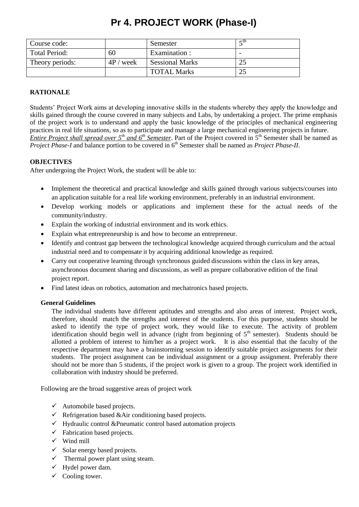# **Pr 4. PROJECT WORK (Phase-I)**

| Course code:         |             | Semester               | ∠tn |
|----------------------|-------------|------------------------|-----|
| <b>Total Period:</b> | 60          | Examination :          |     |
| Theory periods:      | $4P$ / week | <b>Sessional Marks</b> |     |
|                      |             | <b>TOTAL Marks</b>     |     |

#### **RATIONALE**

Students' Project Work aims at developing innovative skills in the students whereby they apply the knowledge and skills gained through the course covered in many subjects and Labs, by undertaking a project. The prime emphasis of the project work is to understand and apply the basic knowledge of the principles of mechanical engineering practices in real life situations, so as to participate and manage a large mechanical engineering projects in future. *Entire Project shall spread over*  $5^{th}$  *and*  $6^{th}$  *Semester. Part of the Project covered in*  $5^{th}$  *Semester shall be named as Project Phase-I* and balance portion to be covered in 6<sup>th</sup> Semester shall be named as *Project Phase-II*.

#### **OBJECTIVES**

After undergoing the Project Work, the student will be able to:

- Implement the theoretical and practical knowledge and skills gained through various subjects/courses into an application suitable for a real life working environment, preferably in an industrial environment.
- Develop working models or applications and implement these for the actual needs of the community/industry.
- Explain the working of industrial environment and its work ethics.
- Explain what entrepreneurship is and how to become an entrepreneur.
- Identify and contrast gap between the technological knowledge acquired through curriculum and the actual industrial need and to compensate it by acquiring additional knowledge as required.
- Carry out cooperative learning through synchronous guided discussions within the class in key areas, asynchronous document sharing and discussions, as well as prepare collaborative edition of the final project report.
- Find latest ideas on robotics, automation and mechatronics based projects.

#### **General Guidelines**

The individual students have different aptitudes and strengths and also areas of interest. Project work, therefore, should match the strengths and interest of the students. For this purpose, students should be asked to identify the type of project work, they would like to execute. The activity of problem identification should begin well in advance (right from beginning of  $5<sup>th</sup>$  semester). Students should be allotted a problem of interest to him/her as a project work. It is also essential that the faculty of the respective department may have a brainstorming session to identify suitable project assignments for their students. The project assignment can be individual assignment or a group assignment. Preferably there should not be more than 5 students, if the project work is given to a group. The project work identified in collaboration with industry should be preferred.

Following are the broad suggestive areas of project work

- $\checkmark$  Automobile based projects.
- $\checkmark$  Refrigeration based &Air conditioning based projects.
- $\checkmark$  Hydraulic control &Pneumatic control based automation projects
- $\checkmark$  Fabrication based projects.
- $\checkmark$  Wind mill
- $\checkmark$  Solar energy based projects.
- $\checkmark$  Thermal power plant using steam.
- $\checkmark$  Hydel power dam.
- $\checkmark$  Cooling tower.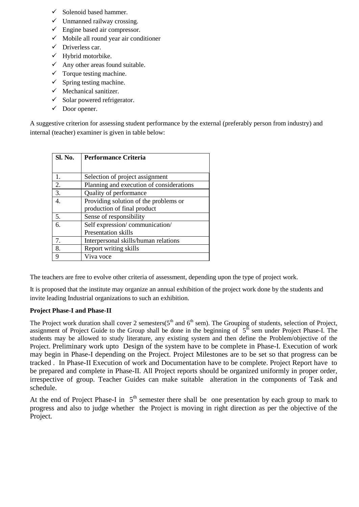- $\checkmark$  Solenoid based hammer.
- $\checkmark$  Unmanned railway crossing.
- $\checkmark$  Engine based air compressor.
- $\checkmark$  Mobile all round year air conditioner
- $\checkmark$  Driverless car.
- $\checkmark$  Hybrid motorbike.
- $\checkmark$  Any other areas found suitable.
- $\checkmark$  Torque testing machine.
- $\checkmark$  Spring testing machine.
- $\checkmark$  Mechanical sanitizer.
- $\checkmark$  Solar powered refrigerator.
- $\checkmark$  Door opener.

A suggestive criterion for assessing student performance by the external (preferably person from industry) and internal (teacher) examiner is given in table below:

| Sl. No. | <b>Performance Criteria</b>              |
|---------|------------------------------------------|
|         |                                          |
| 1.      | Selection of project assignment          |
| 2.      | Planning and execution of considerations |
| 3.      | Quality of performance                   |
| 4.      | Providing solution of the problems or    |
|         | production of final product              |
| 5.      | Sense of responsibility                  |
| 6.      | Self expression/communication/           |
|         | <b>Presentation skills</b>               |
| 7.      | Interpersonal skills/human relations     |
| 8.      | Report writing skills                    |
| 9       | Viva voce                                |

The teachers are free to evolve other criteria of assessment, depending upon the type of project work.

It is proposed that the institute may organize an annual exhibition of the project work done by the students and invite leading Industrial organizations to such an exhibition.

#### **Project Phase-I and Phase-II**

The Project work duration shall cover 2 semesters( $5<sup>th</sup>$  and  $6<sup>th</sup>$  sem). The Grouping of students, selection of Project, assignment of Project Guide to the Group shall be done in the beginning of  $5^{\overline{h}}$  sem under Project Phase-I. The students may be allowed to study literature, any existing system and then define the Problem/objective of the Project. Preliminary work upto Design of the system have to be complete in Phase-I. Execution of work may begin in Phase-I depending on the Project. Project Milestones are to be set so that progress can be tracked . In Phase-II Execution of work and Documentation have to be complete. Project Report have to be prepared and complete in Phase-II. All Project reports should be organized uniformly in proper order, irrespective of group. Teacher Guides can make suitable alteration in the components of Task and schedule.

At the end of Project Phase-I in  $5<sup>th</sup>$  semester there shall be one presentation by each group to mark to progress and also to judge whether the Project is moving in right direction as per the objective of the Project.